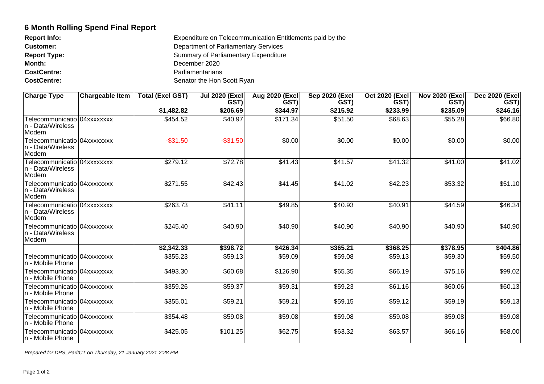## **6 Month Rolling Spend Final Report**

| <b>Report Info:</b> | Expenditure on Telecommunication Entitlements paid by the |
|---------------------|-----------------------------------------------------------|
| <b>Customer:</b>    | Department of Parliamentary Services                      |
| <b>Report Type:</b> | <b>Summary of Parliamentary Expenditure</b>               |
| Month:              | December 2020                                             |
| <b>CostCentre:</b>  | Parliamentarians                                          |
| <b>CostCentre:</b>  | Senator the Hon Scott Ryan                                |

| <b>Charge Type</b>                                           | ∣Chargeable Item ∣ | Total (Excl GST) | <b>Jul 2020 (Excl)</b><br><b>GST)</b> | Aug 2020 (Excl<br><b>GST)</b> | Sep 2020 (Excl)<br><b>GST</b> ) | <b>Oct 2020 (Excl)</b><br><b>GST</b> ) | <b>Nov 2020 (Excl)</b><br>GST) | Dec 2020 (Excl)<br><b>GST)</b> |
|--------------------------------------------------------------|--------------------|------------------|---------------------------------------|-------------------------------|---------------------------------|----------------------------------------|--------------------------------|--------------------------------|
|                                                              |                    | \$1,482.82       | \$206.69                              | \$344.97                      | \$215.92                        | \$233.99                               | \$235.09                       | \$246.16                       |
| Telecommunicatio 04xxxxxxxx<br>n - Data/Wireless<br>Modem    |                    | \$454.52         | \$40.97                               | \$171.34                      | \$51.50                         | \$68.63                                | \$55.28                        | \$66.80                        |
| Telecommunicatio   04xxxxxxxx<br>n - Data/Wireless<br>Modem  |                    | $-$31.50$        | $-$31.50$                             | \$0.00                        | \$0.00                          | \$0.00                                 | \$0.00                         | \$0.00                         |
| Telecommunicatio 04xxxxxxxx<br>In - Data/Wireless<br>Modem   |                    | \$279.12         | \$72.78                               | \$41.43                       | \$41.57                         | \$41.32                                | \$41.00                        | \$41.02                        |
| Telecommunicatio   04xxxxxxxx<br>In - Data/Wireless<br>Modem |                    | \$271.55         | \$42.43                               | $\sqrt{$41.45}$               | \$41.02                         | \$42.23                                | \$53.32                        | \$51.10                        |
| Telecommunicatio 04xxxxxxxx<br>n - Data/Wireless<br>Modem    |                    | \$263.73         | \$41.11                               | \$49.85                       | \$40.93]                        | \$40.91                                | \$44.59                        | \$46.34                        |
| Telecommunicatio 04xxxxxxxx<br>n - Data/Wireless<br>Modem    |                    | \$245.40         | \$40.90                               | \$40.90                       | \$40.90                         | \$40.90                                | \$40.90                        | \$40.90                        |
|                                                              |                    | \$2,342.33       | \$398.72                              | \$426.34                      | \$365.21                        | \$368.25                               | \$378.95                       | \$404.86                       |
| Telecommunicatio   04xxxxxxxx<br>n - Mobile Phone            |                    | \$355.23         | \$59.13                               | \$59.09                       | \$59.08                         | \$59.13                                | \$59.30                        | \$59.50                        |
| Telecommunicatio 04xxxxxxxx<br>n - Mobile Phone              |                    | \$493.30         | \$60.68                               | \$126.90                      | \$65.35                         | \$66.19                                | \$75.16                        | \$99.02                        |
| Telecommunicatio 04xxxxxxxx<br>n - Mobile Phone              |                    | \$359.26         | \$59.37                               | \$59.31                       | \$59.23                         | \$61.16                                | \$60.06                        | \$60.13                        |
| Telecommunicatio 04xxxxxxxx<br>n - Mobile Phone              |                    | \$355.01         | \$59.21                               | \$59.21                       | \$59.15                         | \$59.12                                | \$59.19                        | \$59.13                        |
| Telecommunicatio 04xxxxxxxx<br>In - Mobile Phone             |                    | \$354.48         | \$59.08                               | \$59.08                       | \$59.08                         | \$59.08                                | \$59.08                        | \$59.08                        |
| Telecommunicatio 04xxxxxxxx<br>n - Mobile Phone              |                    | \$425.05         | \$101.25                              | \$62.75                       | \$63.32                         | \$63.57                                | \$66.16                        | \$68.00                        |

Prepared for DPS\_ParlICT on Thursday, 21 January 2021 2:28 PM